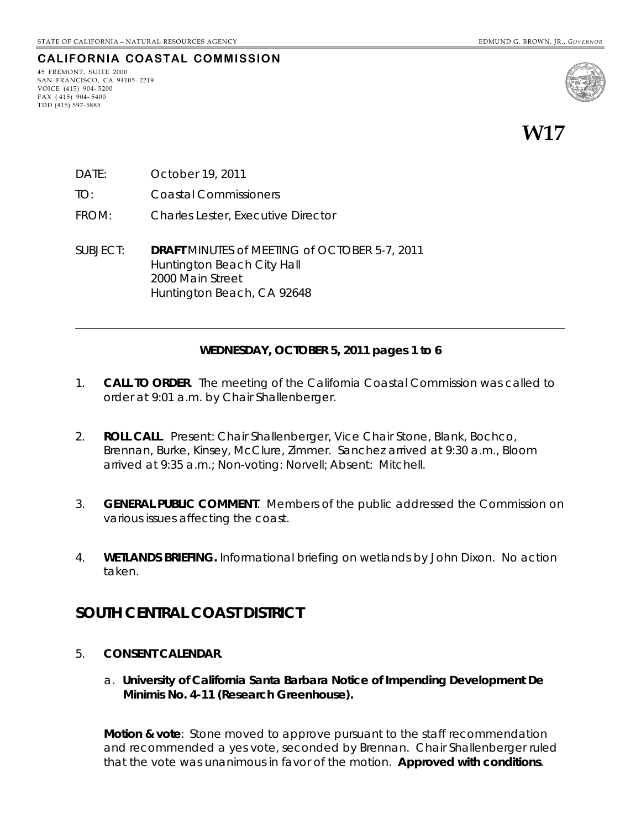#### **CALIFORNIA COASTAL COMMISSION**

45 FREMONT, SUITE 2000 SAN FRANCISCO, CA 94105- 2219 VOICE (415) 904- 5200 FAX ( 415) 904- 5400 TDD (415) 597-5885



**W17** 

- DATE: October 19, 2011
- TO: Coastal Commissioners
- FROM: Charles Lester, Executive Director
- SUBJECT: **DRAFT** MINUTES of MEETING of OCTOBER 5-7, 2011 Huntington Beach City Hall 2000 Main Street Huntington Beach, CA 92648

#### **WEDNESDAY, OCTOBER 5, 2011 pages 1 to 6**

**\_\_\_\_\_\_\_\_\_\_\_\_\_\_\_\_\_\_\_\_\_\_\_\_\_\_\_\_\_\_\_\_\_\_\_\_\_\_\_\_\_\_\_\_\_\_\_\_\_\_\_\_\_\_\_\_\_\_\_\_\_\_\_\_\_\_\_\_\_\_\_\_\_\_\_\_\_\_\_\_\_\_\_\_\_\_\_\_\_\_\_\_\_\_\_\_\_\_\_\_\_\_\_\_\_\_\_\_\_\_\_\_\_\_\_\_\_** 

- 1. **CALL TO ORDER**. The meeting of the California Coastal Commission was called to order at 9:01 a.m. by Chair Shallenberger.
- 2. **ROLL CALL**. Present: Chair Shallenberger, Vice Chair Stone, Blank, Bochco, Brennan, Burke, Kinsey, McClure, Zimmer. Sanchez arrived at 9:30 a.m., Bloom arrived at 9:35 a.m.; Non-voting: Norvell; Absent: Mitchell.
- 3. **GENERAL PUBLIC COMMENT**. Members of the public addressed the Commission on various issues affecting the coast.
- 4. **WETLANDS BRIEFING.** Informational briefing on wetlands by John Dixon. No action taken.

## **SOUTH CENTRAL COAST DISTRICT**

- 5. **CONSENT CALENDAR**.
	- a. **University of California Santa Barbara Notice of Impending Development De Minimis No. 4-11 (Research Greenhouse).**

**Motion & vote**: Stone moved to approve pursuant to the staff recommendation and recommended a yes vote, seconded by Brennan. Chair Shallenberger ruled that the vote was unanimous in favor of the motion. **Approved with conditions**.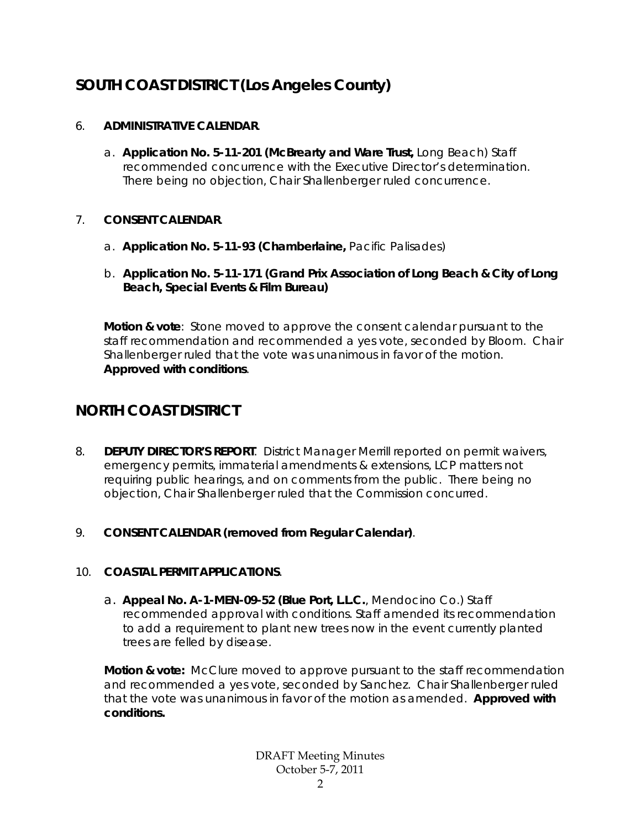# **SOUTH COAST DISTRICT (Los Angeles County)**

### 6. **ADMINISTRATIVE CALENDAR**.

a. **Application No. 5-11-201 (McBrearty and Ware Trust,** Long Beach) Staff recommended concurrence with the Executive Director's determination. There being no objection, Chair Shallenberger ruled concurrence.

### 7. **CONSENT CALENDAR**.

- a. **Application No. 5-11-93 (Chamberlaine,** Pacific Palisades)
- b. **Application No. 5-11-171 (Grand Prix Association of Long Beach & City of Long Beach, Special Events & Film Bureau)**

**Motion & vote**: Stone moved to approve the consent calendar pursuant to the staff recommendation and recommended a yes vote, seconded by Bloom. Chair Shallenberger ruled that the vote was unanimous in favor of the motion. **Approved with conditions**.

# **NORTH COAST DISTRICT**

- 8. **DEPUTY DIRECTOR'S REPORT**. District Manager Merrill reported on permit waivers, emergency permits, immaterial amendments & extensions, LCP matters not requiring public hearings, and on comments from the public. There being no objection, Chair Shallenberger ruled that the Commission concurred.
- 9. **CONSENT CALENDAR (removed from Regular Calendar)**.

## 10. **COASTAL PERMIT APPLICATIONS**.

a. **Appeal No. A-1-MEN-09-52 (Blue Port, L.L.C.**, Mendocino Co.) Staff recommended approval with conditions. Staff amended its recommendation to add a requirement to plant new trees now in the event currently planted trees are felled by disease.

**Motion & vote:** McClure moved to approve pursuant to the staff recommendation and recommended a yes vote, seconded by Sanchez. Chair Shallenberger ruled that the vote was unanimous in favor of the motion as amended. **Approved with conditions.**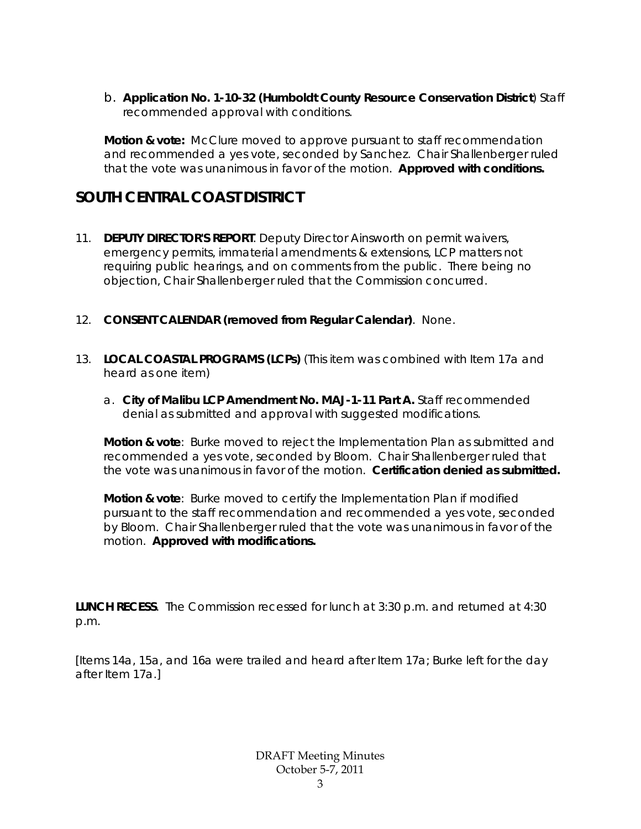b. **Application No. 1-10-32 (Humboldt County Resource Conservation District**) Staff recommended approval with conditions.

**Motion & vote:** McClure moved to approve pursuant to staff recommendation and recommended a yes vote, seconded by Sanchez. Chair Shallenberger ruled that the vote was unanimous in favor of the motion. **Approved with conditions.**

# **SOUTH CENTRAL COAST DISTRICT**

- 11. **DEPUTY DIRECTOR'S REPORT**. Deputy Director Ainsworth on permit waivers, emergency permits, immaterial amendments & extensions, LCP matters not requiring public hearings, and on comments from the public. There being no objection, Chair Shallenberger ruled that the Commission concurred.
- 12. **CONSENT CALENDAR (removed from Regular Calendar)**. None.
- 13. **LOCAL COASTAL PROGRAMS (LCPs)** (*This item was combined with Item 17a and heard as one item*)
	- a. **City of Malibu LCP Amendment No. MAJ-1-11 Part A.** Staff recommended denial as submitted and approval with suggested modifications.

**Motion & vote**: Burke moved to reject the Implementation Plan as submitted and recommended a yes vote, seconded by Bloom. Chair Shallenberger ruled that the vote was unanimous in favor of the motion. **Certification denied as submitted.** 

**Motion & vote**: Burke moved to certify the Implementation Plan if modified pursuant to the staff recommendation and recommended a yes vote, seconded by Bloom. Chair Shallenberger ruled that the vote was unanimous in favor of the motion. **Approved with modifications.** 

**LUNCH RECESS**. The Commission recessed for lunch at 3:30 p.m. and returned at 4:30 p.m.

[*Items 14a, 15a, and 16a were trailed and heard after Item 17a;* Burke left for the day after Item 17a.]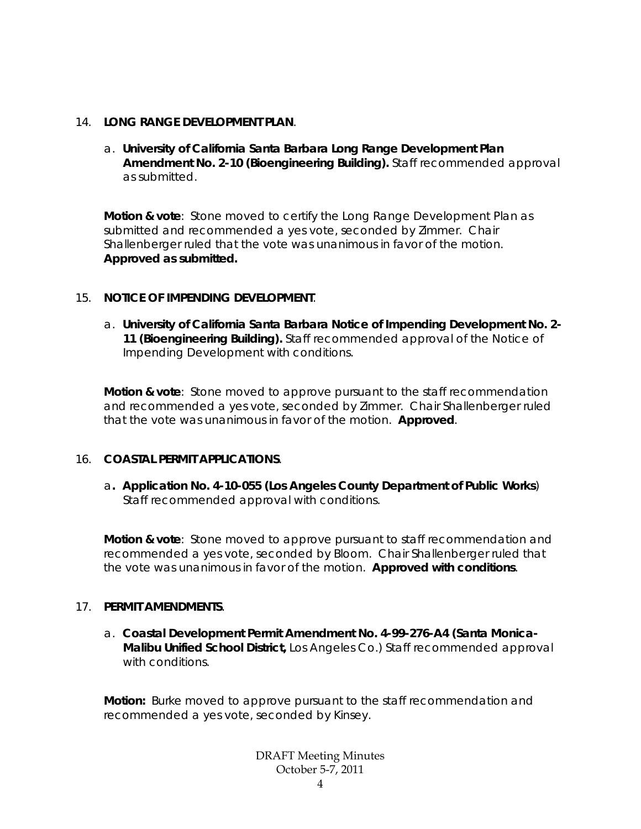#### 14. **LONG RANGE DEVELOPMENT PLAN**.

a. **University of California Santa Barbara Long Range Development Plan Amendment No. 2-10 (Bioengineering Building).** Staff recommended approval as submitted.

**Motion & vote**: Stone moved to certify the Long Range Development Plan as submitted and recommended a yes vote, seconded by Zimmer. Chair Shallenberger ruled that the vote was unanimous in favor of the motion. **Approved as submitted.**

#### 15. **NOTICE OF IMPENDING DEVELOPMENT**.

a. **University of California Santa Barbara Notice of Impending Development No. 2- 11 (Bioengineering Building).** Staff recommended approval of the Notice of Impending Development with conditions.

**Motion & vote**: Stone moved to approve pursuant to the staff recommendation and recommended a yes vote, seconded by Zimmer. Chair Shallenberger ruled that the vote was unanimous in favor of the motion. **Approved**.

#### 16. **COASTAL PERMIT APPLICATIONS**.

a**. Application No. 4-10-055 (Los Angeles County Department of Public Works**) Staff recommended approval with conditions.

**Motion & vote**: Stone moved to approve pursuant to staff recommendation and recommended a yes vote, seconded by Bloom. Chair Shallenberger ruled that the vote was unanimous in favor of the motion. **Approved with conditions**.

#### 17. **PERMIT AMENDMENTS**.

a. **Coastal Development Permit Amendment No. 4-99-276-A4 (Santa Monica-Malibu Unified School District,** Los Angeles Co.) Staff recommended approval with conditions.

**Motion:** Burke moved to approve pursuant to the staff recommendation and recommended a yes vote, seconded by Kinsey.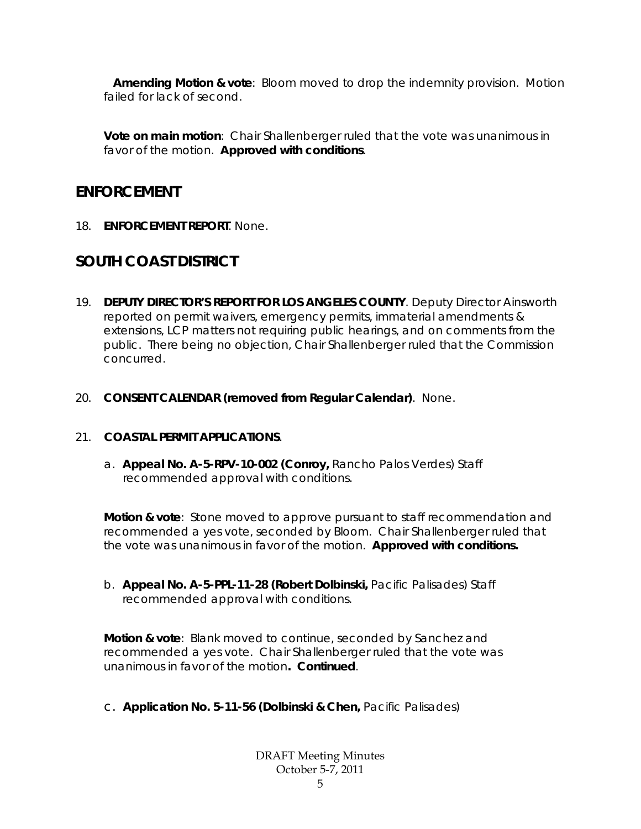**Amending Motion & vote**: Bloom moved to drop the indemnity provision. Motion failed for lack of second.

**Vote on main motion**: Chair Shallenberger ruled that the vote was unanimous in favor of the motion. **Approved with conditions**.

## **ENFORCEMENT**

18. **ENFORCEMENT REPORT**. None.

# **SOUTH COAST DISTRICT**

- 19. **DEPUTY DIRECTOR'S REPORT FOR LOS ANGELES COUNTY**. Deputy Director Ainsworth reported on permit waivers, emergency permits, immaterial amendments & extensions, LCP matters not requiring public hearings, and on comments from the public. There being no objection, Chair Shallenberger ruled that the Commission concurred.
- 20. **CONSENT CALENDAR (removed from Regular Calendar)**. None.

### 21. **COASTAL PERMIT APPLICATIONS**.

a. **Appeal No. A-5-RPV-10-002 (Conroy,** Rancho Palos Verdes) Staff recommended approval with conditions.

**Motion & vote**: Stone moved to approve pursuant to staff recommendation and recommended a yes vote, seconded by Bloom. Chair Shallenberger ruled that the vote was unanimous in favor of the motion. **Approved with conditions.**

b. **Appeal No. A-5-PPL-11-28 (Robert Dolbinski,** Pacific Palisades) Staff recommended approval with conditions.

**Motion & vote**: Blank moved to continue, seconded by Sanchez and recommended a yes vote. Chair Shallenberger ruled that the vote was unanimous in favor of the motion**. Continued**.

c. **Application No. 5-11-56 (Dolbinski & Chen,** Pacific Palisades)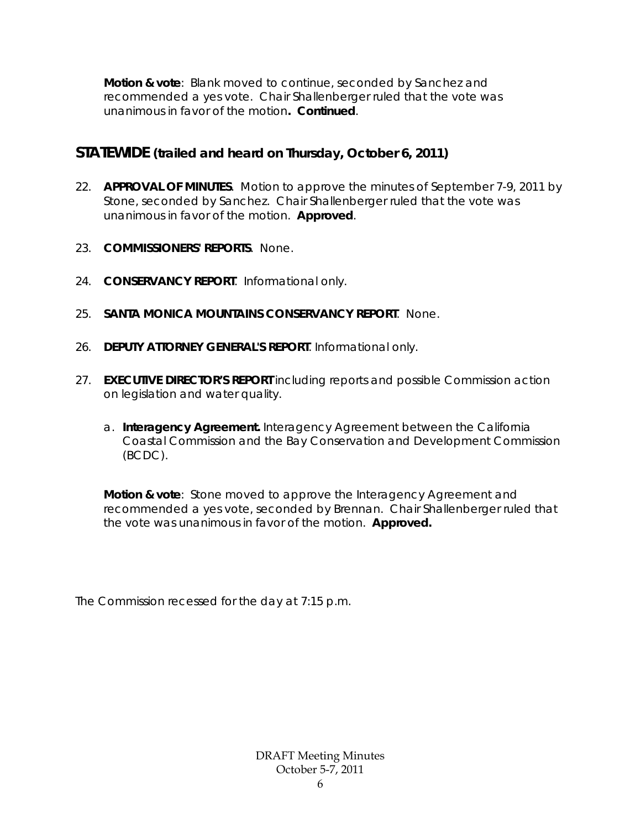**Motion & vote**: Blank moved to continue, seconded by Sanchez and recommended a yes vote. Chair Shallenberger ruled that the vote was unanimous in favor of the motion**. Continued**.

## **STATEWIDE (trailed and heard on Thursday, October 6, 2011)**

- 22. **APPROVAL OF MINUTES**. Motion to approve the minutes of *September 7-9, 2011* by Stone, seconded by Sanchez. Chair Shallenberger ruled that the vote was unanimous in favor of the motion. **Approved**.
- 23. **COMMISSIONERS' REPORTS**. None.
- 24. **CONSERVANCY REPORT**. Informational only.
- 25. **SANTA MONICA MOUNTAINS CONSERVANCY REPORT**. None.
- 26. **DEPUTY ATTORNEY GENERAL'S REPORT**. Informational only.
- 27. **EXECUTIVE DIRECTOR'S REPORT** including reports and possible Commission action on legislation and water quality.
	- a. **Interagency Agreement.** Interagency Agreement between the California Coastal Commission and the Bay Conservation and Development Commission (BCDC).

**Motion & vote**: Stone moved to approve the Interagency Agreement and recommended a yes vote, seconded by Brennan. Chair Shallenberger ruled that the vote was unanimous in favor of the motion. **Approved.**

The Commission recessed for the day at 7:15 p.m.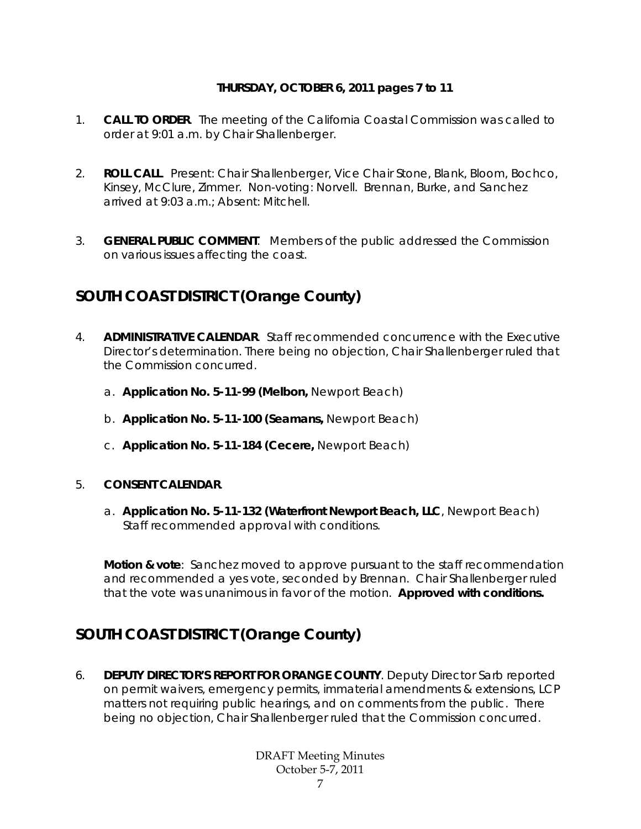### **THURSDAY, OCTOBER 6, 2011 pages 7 to 11**

- 1. **CALL TO ORDER**. The meeting of the California Coastal Commission was called to order at 9:01 a.m. by Chair Shallenberger.
- 2. **ROLL CALL**. Present: Chair Shallenberger, Vice Chair Stone, Blank, Bloom, Bochco, Kinsey, McClure, Zimmer. Non-voting: Norvell. Brennan, Burke, and Sanchez arrived at 9:03 a.m.; Absent: Mitchell.
- 3. **GENERAL PUBLIC COMMENT**. Members of the public addressed the Commission on various issues affecting the coast.

# **SOUTH COAST DISTRICT (Orange County)**

- 4. **ADMINISTRATIVE CALENDAR**. Staff recommended concurrence with the Executive Director's determination. There being no objection, Chair Shallenberger ruled that the Commission concurred.
	- a. **Application No. 5-11-99 (Melbon,** Newport Beach)
	- b. **Application No. 5-11-100 (Seamans,** Newport Beach)
	- c. **Application No. 5-11-184 (Cecere,** Newport Beach)

### 5. **CONSENT CALENDAR**.

a. **Application No. 5-11-132 (Waterfront Newport Beach, LLC**, Newport Beach) Staff recommended approval with conditions.

**Motion & vote**: Sanchez moved to approve pursuant to the staff recommendation and recommended a yes vote, seconded by Brennan. Chair Shallenberger ruled that the vote was unanimous in favor of the motion. **Approved with conditions.** 

# **SOUTH COAST DISTRICT (Orange County)**

6. **DEPUTY DIRECTOR'S REPORT FOR ORANGE COUNTY**. Deputy Director Sarb reported on permit waivers, emergency permits, immaterial amendments & extensions, LCP matters not requiring public hearings, and on comments from the public. There being no objection, Chair Shallenberger ruled that the Commission concurred.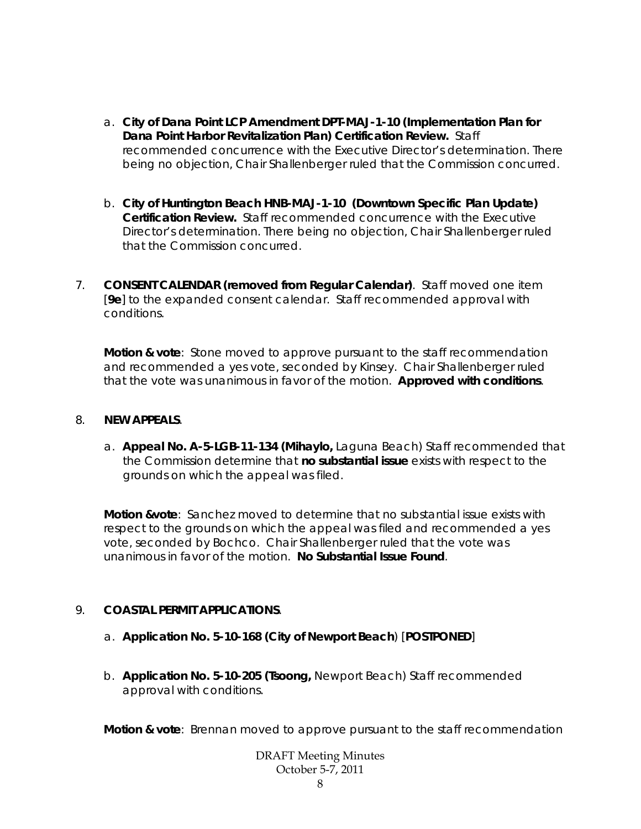- a. **City of Dana Point LCP Amendment DPT-MAJ-1-10 (Implementation Plan for Dana Point Harbor Revitalization Plan) Certification Review.** Staff recommended concurrence with the Executive Director's determination. There being no objection, Chair Shallenberger ruled that the Commission concurred.
- b. **City of Huntington Beach HNB-MAJ-1-10 (Downtown Specific Plan Update) Certification Review.** Staff recommended concurrence with the Executive Director's determination. There being no objection, Chair Shallenberger ruled that the Commission concurred.
- 7. **CONSENT CALENDAR (removed from Regular Calendar)**. Staff moved one item [**9e**] to the expanded consent calendar. Staff recommended approval with conditions.

**Motion & vote**: Stone moved to approve pursuant to the staff recommendation and recommended a yes vote, seconded by Kinsey. Chair Shallenberger ruled that the vote was unanimous in favor of the motion. **Approved with conditions**.

#### 8. **NEW APPEALS**.

a. **Appeal No. A-5-LGB-11-134 (Mihaylo,** Laguna Beach) Staff recommended that the Commission determine that **no substantial issue** exists with respect to the grounds on which the appeal was filed.

**Motion &vote**: Sanchez moved to determine that no substantial issue exists with respect to the grounds on which the appeal was filed and recommended a yes vote, seconded by Bochco. Chair Shallenberger ruled that the vote was unanimous in favor of the motion. **No Substantial Issue Found**.

### 9. **COASTAL PERMIT APPLICATIONS**.

- a. **Application No. 5-10-168 (City of Newport Beach**) [**POSTPONED**]
- b. **Application No. 5-10-205 (Tsoong,** Newport Beach) Staff recommended approval with conditions.

**Motion & vote**: Brennan moved to approve pursuant to the staff recommendation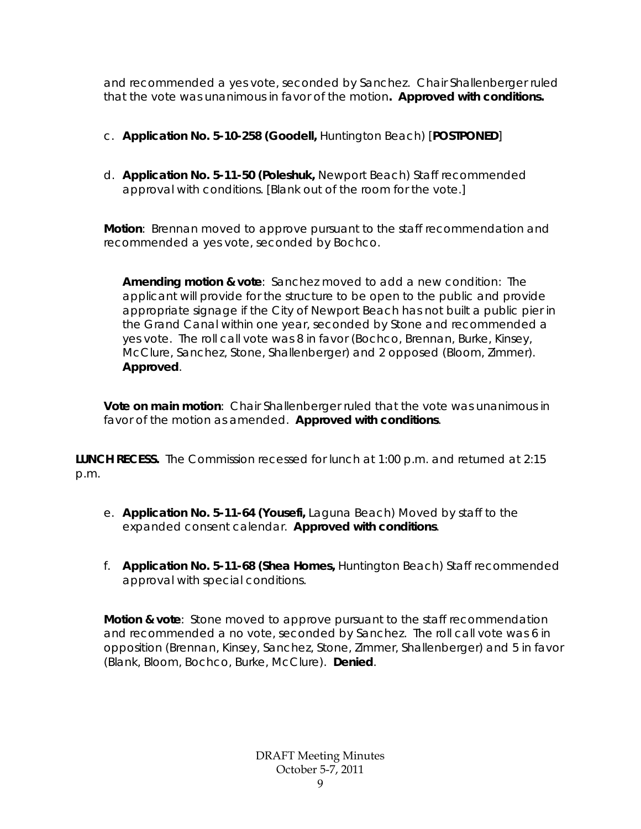and recommended a yes vote, seconded by Sanchez. Chair Shallenberger ruled that the vote was unanimous in favor of the motion**. Approved with conditions.** 

- c. **Application No. 5-10-258 (Goodell,** Huntington Beach) [**POSTPONED**]
- d. **Application No. 5-11-50 (Poleshuk,** Newport Beach) Staff recommended approval with conditions. [Blank out of the room for the vote.]

**Motion**: Brennan moved to approve pursuant to the staff recommendation and recommended a yes vote, seconded by Bochco.

**Amending motion & vote**: Sanchez moved to add a new condition: The applicant will provide for the structure to be open to the public and provide appropriate signage if the City of Newport Beach has not built a public pier in the Grand Canal within one year, seconded by Stone and recommended a yes vote. The roll call vote was 8 in favor (Bochco, Brennan, Burke, Kinsey, McClure, Sanchez, Stone, Shallenberger) and 2 opposed (Bloom, Zimmer). **Approved**.

**Vote on main motion**: Chair Shallenberger ruled that the vote was unanimous in favor of the motion as amended. **Approved with conditions**.

**LUNCH RECESS.** The Commission recessed for lunch at 1:00 p.m. and returned at 2:15 p.m.

- e. **Application No. 5-11-64 (Yousefi,** Laguna Beach) Moved by staff to the expanded consent calendar. **Approved with conditions**.
- f. **Application No. 5-11-68 (Shea Homes,** Huntington Beach) Staff recommended approval with special conditions.

**Motion & vote**: Stone moved to approve pursuant to the staff recommendation and recommended a no vote, seconded by Sanchez. The roll call vote was 6 in opposition (Brennan, Kinsey, Sanchez, Stone, Zimmer, Shallenberger) and 5 in favor (Blank, Bloom, Bochco, Burke, McClure). **Denied**.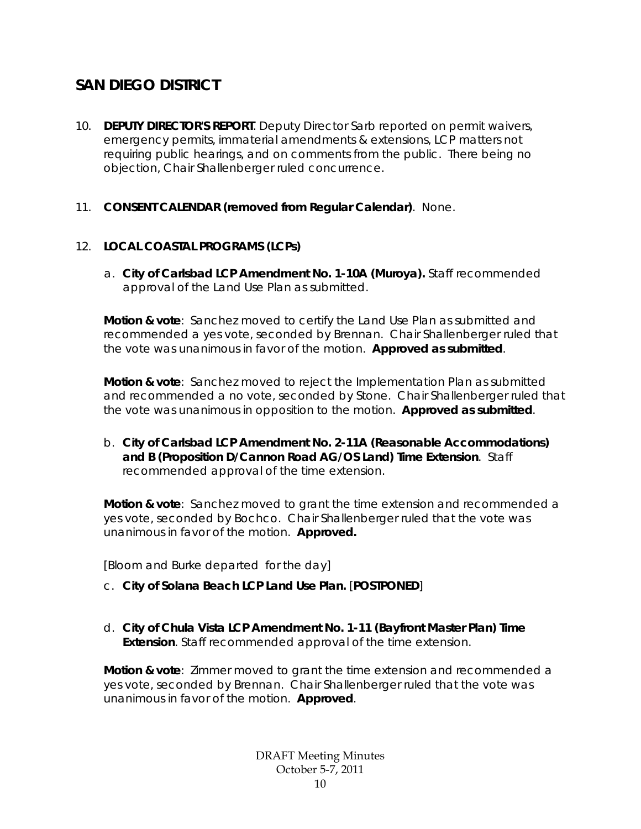# **SAN DIEGO DISTRICT**

- 10. **DEPUTY DIRECTOR'S REPORT**. Deputy Director Sarb reported on permit waivers, emergency permits, immaterial amendments & extensions, LCP matters not requiring public hearings, and on comments from the public. There being no objection, Chair Shallenberger ruled concurrence.
- 11. **CONSENT CALENDAR (removed from Regular Calendar)**. None.

### 12. **LOCAL COASTAL PROGRAMS (LCPs)**

a. **City of Carlsbad LCP Amendment No. 1-10A (Muroya).** Staff recommended approval of the Land Use Plan as submitted.

**Motion & vote**: Sanchez moved to certify the Land Use Plan as submitted and recommended a yes vote, seconded by Brennan. Chair Shallenberger ruled that the vote was unanimous in favor of the motion. **Approved as submitted**.

**Motion & vote**: Sanchez moved to reject the Implementation Plan as submitted and recommended a no vote, seconded by Stone. Chair Shallenberger ruled that the vote was unanimous in opposition to the motion. **Approved as submitted**.

b. **City of Carlsbad LCP Amendment No. 2-11A (Reasonable Accommodations) and B (Proposition D/Cannon Road AG/OS Land) Time Extension**. Staff recommended approval of the time extension.

**Motion & vote**: Sanchez moved to grant the time extension and recommended a yes vote, seconded by Bochco. Chair Shallenberger ruled that the vote was unanimous in favor of the motion. **Approved.** 

[*Bloom and Burke departed for the day*]

- c. **City of Solana Beach LCP Land Use Plan.** [**POSTPONED**]
- d. **City of Chula Vista LCP Amendment No. 1-11 (Bayfront Master Plan) Time Extension**. Staff recommended approval of the time extension.

**Motion & vote**: Zimmer moved to grant the time extension and recommended a yes vote, seconded by Brennan. Chair Shallenberger ruled that the vote was unanimous in favor of the motion. **Approved**.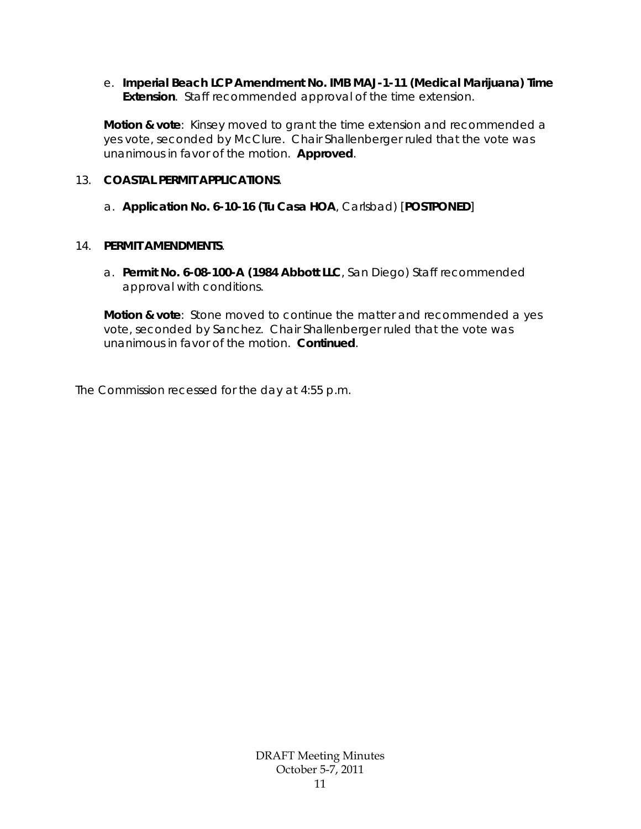e. **Imperial Beach LCP Amendment No. IMB MAJ-1-11 (Medical Marijuana) Time Extension**. Staff recommended approval of the time extension.

**Motion & vote**: Kinsey moved to grant the time extension and recommended a yes vote, seconded by McClure. Chair Shallenberger ruled that the vote was unanimous in favor of the motion. **Approved**.

#### 13. **COASTAL PERMIT APPLICATIONS**.

#### a. **Application No. 6-10-16 (Tu Casa HOA**, Carlsbad) [**POSTPONED**]

#### 14. **PERMIT AMENDMENTS**.

a. **Permit No. 6-08-100-A (1984 Abbott LLC**, San Diego) Staff recommended approval with conditions.

**Motion & vote**: Stone moved to continue the matter and recommended a yes vote, seconded by Sanchez. Chair Shallenberger ruled that the vote was unanimous in favor of the motion. **Continued**.

The Commission recessed for the day at 4:55 p.m.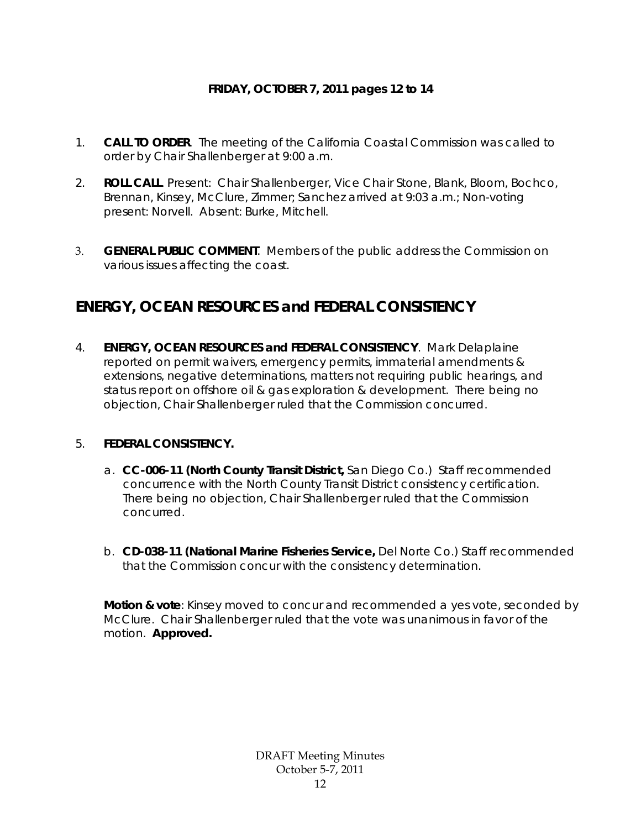## **FRIDAY, OCTOBER 7, 2011 pages 12 to 14**

- 1. **CALL TO ORDER**. The meeting of the California Coastal Commission was called to order by Chair Shallenberger at 9:00 a.m.
- 2. **ROLL CALL**. Present: Chair Shallenberger, Vice Chair Stone, Blank, Bloom, Bochco, Brennan, Kinsey, McClure, Zimmer; Sanchez arrived at 9:03 a.m.; Non-voting present: Norvell. Absent: Burke, Mitchell.
- 3. **GENERAL PUBLIC COMMENT**. Members of the public address the Commission on various issues affecting the coast.

# **ENERGY, OCEAN RESOURCES and FEDERAL CONSISTENCY**

4. **ENERGY, OCEAN RESOURCES and FEDERAL CONSISTENCY**. Mark Delaplaine reported on permit waivers, emergency permits, immaterial amendments & extensions, negative determinations, matters not requiring public hearings, and status report on offshore oil & gas exploration & development. There being no objection, Chair Shallenberger ruled that the Commission concurred.

### 5. **FEDERAL CONSISTENCY.**

- a. **CC-006-11 (North County Transit District,** San Diego Co.) Staff recommended concurrence with the North County Transit District consistency certification. There being no objection, Chair Shallenberger ruled that the Commission concurred.
- b. **CD-038-11 (National Marine Fisheries Service,** Del Norte Co.) Staff recommended that the Commission concur with the consistency determination.

**Motion & vote**: Kinsey moved to concur and recommended a yes vote, seconded by McClure. Chair Shallenberger ruled that the vote was unanimous in favor of the motion. **Approved.**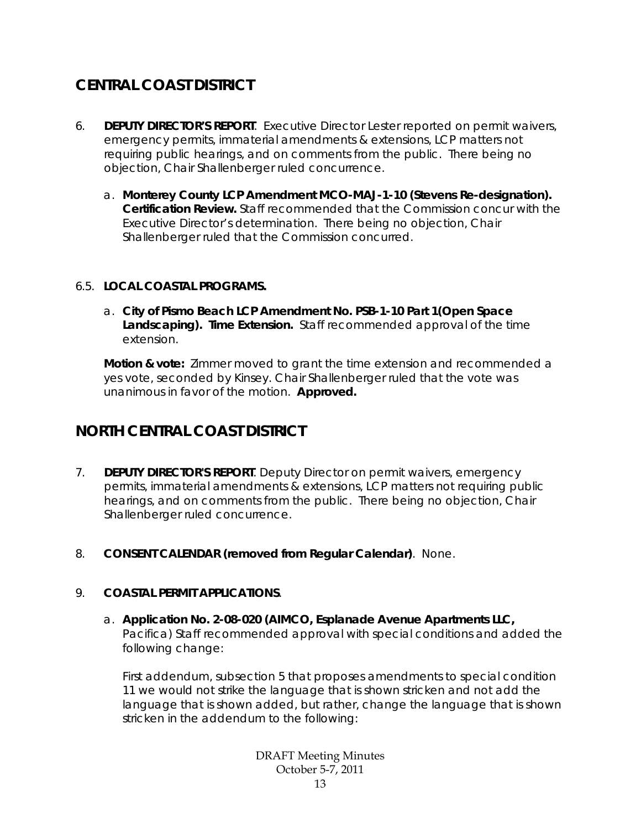# **CENTRAL COAST DISTRICT**

- 6. **DEPUTY DIRECTOR'S REPORT**. Executive Director Lester reported on permit waivers, emergency permits, immaterial amendments & extensions, LCP matters not requiring public hearings, and on comments from the public. There being no objection, Chair Shallenberger ruled concurrence.
	- a. **Monterey County LCP Amendment MCO-MAJ-1-10 (Stevens Re-designation). Certification Review.** Staff recommended that the Commission concur with the Executive Director's determination. There being no objection, Chair Shallenberger ruled that the Commission concurred.

### 6.5. **LOCAL COASTAL PROGRAMS.**

a. **City of Pismo Beach LCP Amendment No. PSB-1-10 Part 1(Open Space Landscaping). Time Extension.** Staff recommended approval of the time extension.

**Motion & vote:** Zimmer moved to grant the time extension and recommended a yes vote, seconded by Kinsey. Chair Shallenberger ruled that the vote was unanimous in favor of the motion. **Approved.** 

# **NORTH CENTRAL COAST DISTRICT**

- 7. **DEPUTY DIRECTOR'S REPORT**. Deputy Director on permit waivers, emergency permits, immaterial amendments & extensions, LCP matters not requiring public hearings, and on comments from the public. There being no objection, Chair Shallenberger ruled concurrence.
- 8. **CONSENT CALENDAR (removed from Regular Calendar)**. None.

### 9. **COASTAL PERMIT APPLICATIONS**.

a. **Application No. 2-08-020 (AIMCO, Esplanade Avenue Apartments LLC,**  Pacifica) Staff recommended approval with special conditions and added the following change:

First addendum, subsection 5 that proposes amendments to special condition 11 we would not strike the language that is shown stricken and not add the language that is shown added, but rather, change the language that is shown stricken in the addendum to the following: